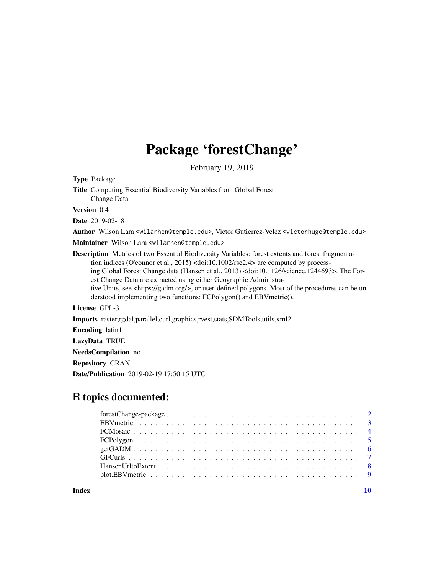## Package 'forestChange'

February 19, 2019

<span id="page-0-0"></span>Type Package

Title Computing Essential Biodiversity Variables from Global Forest Change Data

Version 0.4

Date 2019-02-18

Author Wilson Lara <wilarhen@temple.edu>, Victor Gutierrez-Velez <victorhugo@temple.edu>

Maintainer Wilson Lara <wilarhen@temple.edu>

Description Metrics of two Essential Biodiversity Variables: forest extents and forest fragmentation indices (O'connor et al., 2015) <doi:10.1002/rse2.4> are computed by processing Global Forest Change data (Hansen et al., 2013) <doi:10.1126/science.1244693>. The Forest Change Data are extracted using either Geographic Administrative Units, see <https://gadm.org/>, or user-defined polygons. Most of the procedures can be understood implementing two functions: FCPolygon() and EBVmetric().

License GPL-3

Imports raster,rgdal,parallel,curl,graphics,rvest,stats,SDMTools,utils,xml2

Encoding latin1

LazyData TRUE

NeedsCompilation no

Repository CRAN

Date/Publication 2019-02-19 17:50:15 UTC

## R topics documented:

 $\blacksquare$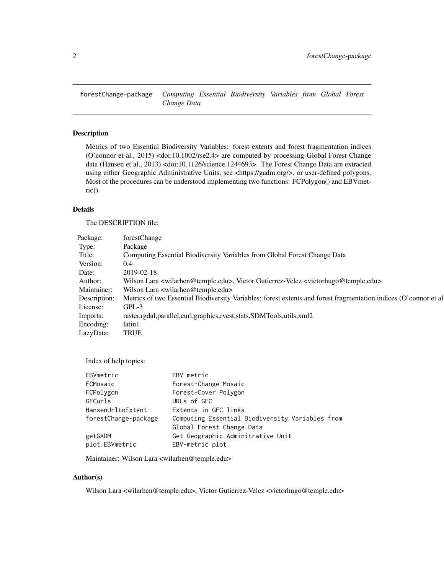<span id="page-1-0"></span>

## Description

Metrics of two Essential Biodiversity Variables: forest extents and forest fragmentation indices (O'connor et al., 2015) <doi:10.1002/rse2.4> are computed by processing Global Forest Change data (Hansen et al., 2013) <doi:10.1126/science.1244693>. The Forest Change Data are extracted using either Geographic Administrative Units, see <https://gadm.org/>, or user-defined polygons. Most of the procedures can be understood implementing two functions: FCPolygon() and EBVmetric().

## Details

The DESCRIPTION file:

|       | Package:<br>forestChange                                                                                                                   |  |
|-------|--------------------------------------------------------------------------------------------------------------------------------------------|--|
|       | Package<br>Type:                                                                                                                           |  |
|       | omputing Essential Biodiversity Variables from Global Forest Change Data<br>Title:                                                         |  |
|       | Version:<br>0.4                                                                                                                            |  |
| Date: | 2019-02-18                                                                                                                                 |  |
|       | Author:<br>Wilson Lara <wilarhen@temple.edu>, Victor Gutierrez-Velez <victorhugo@temple.edu></victorhugo@temple.edu></wilarhen@temple.edu> |  |
|       | Maintainer: Wilson Lara <wilarhen@temple.edu></wilarhen@temple.edu>                                                                        |  |
|       | Description: Metrics of two Essential Biodiversity Variables: forest extents and forest fragmentation indices (O'connor et al              |  |
|       | License: GPL-3                                                                                                                             |  |
|       | Imports: raster,rgdal,parallel,curl,graphics,rvest,stats,SDMTools,utils,xml2                                                               |  |
|       | Encoding: latin1                                                                                                                           |  |
|       | LazyData: TRUE                                                                                                                             |  |

Index of help topics:

| EBVmetric            | EBV metric                                      |
|----------------------|-------------------------------------------------|
| FCMosaic             | Forest-Change Mosaic                            |
| FCPolygon            | Forest-Cover Polygon                            |
| GFCurls              | URLs of GFC                                     |
| HansenUrltoExtent    | Extents in GFC links                            |
| forestChange-package | Computing Essential Biodiversity Variables from |
|                      | Global Forest Change Data                       |
| getGADM              | Get Geographic Adminitrative Unit               |
| plot.EBVmetric       | EBV-metric plot                                 |
|                      |                                                 |

Maintainer: Wilson Lara <wilarhen@temple.edu>

#### Author(s)

Wilson Lara <wilarhen@temple.edu>, Victor Gutierrez-Velez <victorhugo@temple.edu>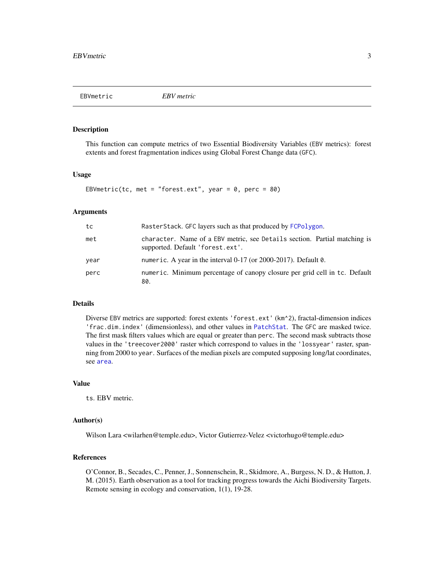<span id="page-2-1"></span><span id="page-2-0"></span>

#### Description

This function can compute metrics of two Essential Biodiversity Variables (EBV metrics): forest extents and forest fragmentation indices using Global Forest Change data (GFC).

#### Usage

```
EBVmetric(tc, met = "forest.ext", year = 0, perc = 80)
```
#### Arguments

| tc   | RasterStack. GFC layers such as that produced by FCPolygon.                                                   |
|------|---------------------------------------------------------------------------------------------------------------|
| met  | character. Name of a EBV metric, see Details section. Partial matching is<br>supported. Default 'forest.ext'. |
| year | numeric. A year in the interval $0-17$ (or 2000-2017). Default $0$ .                                          |
| perc | numeric. Minimum percentage of canopy closure per grid cell in tc. Default<br>80.                             |

## Details

Diverse EBV metrics are supported: forest extents 'forest.ext' (km^2), fractal-dimension indices 'frac.dim.index' (dimensionless), and other values in [PatchStat](#page-0-0). The GFC are masked twice. The first mask filters values which are equal or greater than perc. The second mask subtracts those values in the 'treecover2000' raster which correspond to values in the 'lossyear' raster, spanning from 2000 to year. Surfaces of the median pixels are computed supposing long/lat coordinates, see [area](#page-0-0).

#### Value

ts. EBV metric.

#### Author(s)

Wilson Lara <wilarhen@temple.edu>, Victor Gutierrez-Velez <victorhugo@temple.edu>

#### References

O'Connor, B., Secades, C., Penner, J., Sonnenschein, R., Skidmore, A., Burgess, N. D., & Hutton, J. M. (2015). Earth observation as a tool for tracking progress towards the Aichi Biodiversity Targets. Remote sensing in ecology and conservation, 1(1), 19-28.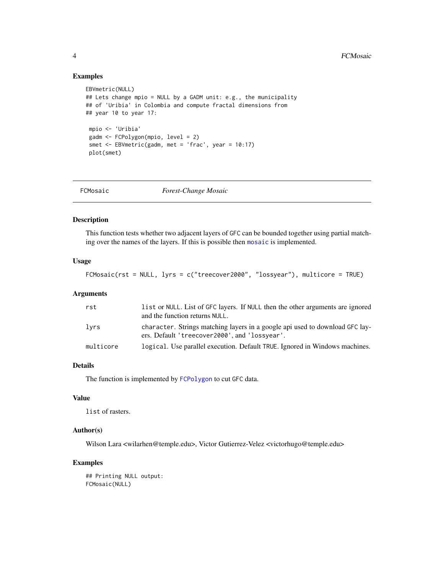## Examples

```
EBVmetric(NULL)
## Lets change mpio = NULL by a GADM unit: e.g., the municipality
## of 'Uribia' in Colombia and compute fractal dimensions from
## year 10 to year 17:
 mpio <- 'Uribia'
 gadm <- FCPolygon(mpio, level = 2)
 smet <- EBVmetric(gadm, met = 'frac', year = 10:17)
 plot(smet)
```
<span id="page-3-1"></span>

| FCMosaic |  |
|----------|--|
|          |  |

 $Forest-Change Mosaic$ 

## Description

This function tests whether two adjacent layers of GFC can be bounded together using partial matching over the names of the layers. If this is possible then [mosaic](#page-0-0) is implemented.

#### Usage

FCMosaic(rst = NULL, lyrs = c("treecover2000", "lossyear"), multicore = TRUE)

#### Arguments

| rst       | list or NULL. List of GFC layers. If NULL then the other arguments are ignored<br>and the function returns NULL.              |
|-----------|-------------------------------------------------------------------------------------------------------------------------------|
| lyrs      | character. Strings matching layers in a google api used to download GFC lay-<br>ers. Default 'treecover2000', and 'lossyear'. |
| multicore | logical. Use parallel execution. Default TRUE. Ignored in Windows machines.                                                   |

#### Details

The function is implemented by [FCPolygon](#page-4-1) to cut GFC data.

#### Value

list of rasters.

#### Author(s)

Wilson Lara <wilarhen@temple.edu>, Victor Gutierrez-Velez <victorhugo@temple.edu>

## Examples

## Printing NULL output: FCMosaic(NULL)

<span id="page-3-0"></span>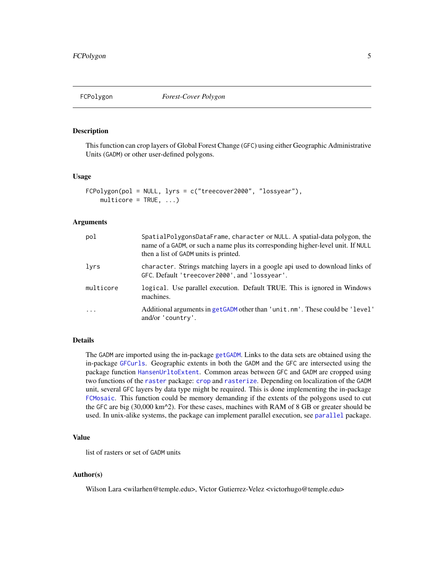<span id="page-4-1"></span><span id="page-4-0"></span>

## Description

This function can crop layers of Global Forest Change (GFC) using either Geographic Administrative Units (GADM) or other user-defined polygons.

#### Usage

```
FCPolygon(pol = NULL, lyrs = c("treecover2000", "lossyear"),
   multicore = TRUE, ...
```
#### Arguments

| pol        | SpatialPolygonsDataFrame, character or NULL. A spatial-data polygon, the<br>name of a GADM, or such a name plus its corresponding higher-level unit. If NULL<br>then a list of GADM units is printed. |
|------------|-------------------------------------------------------------------------------------------------------------------------------------------------------------------------------------------------------|
| lyrs       | character. Strings matching layers in a google api used to download links of<br>GFC. Default 'treecover2000', and 'lossyear'.                                                                         |
| multicore  | logical. Use parallel execution. Default TRUE. This is ignored in Windows<br>machines.                                                                                                                |
| $\ddots$ . | Additional arguments in getGADM other than 'unit.nm'. These could be 'level'<br>and/or 'country'.                                                                                                     |

#### Details

The GADM are imported using the in-package [getGADM](#page-5-1). Links to the data sets are obtained using the in-package [GFCurls](#page-6-1). Geographic extents in both the GADM and the GFC are intersected using the package function [HansenUrltoExtent](#page-7-1). Common areas between GFC and GADM are cropped using two functions of the [raster](#page-0-0) package: [crop](#page-0-0) and [rasterize](#page-0-0). Depending on localization of the GADM unit, several GFC layers by data type might be required. This is done implementing the in-package [FCMosaic](#page-3-1). This function could be memory demanding if the extents of the polygons used to cut the GFC are big (30,000 km^2). For these cases, machines with RAM of 8 GB or greater should be used. In unix-alike systems, the package can implement parallel execution, see [parallel](#page-0-0) package.

#### Value

list of rasters or set of GADM units

#### Author(s)

Wilson Lara <wilarhen@temple.edu>, Victor Gutierrez-Velez <victorhugo@temple.edu>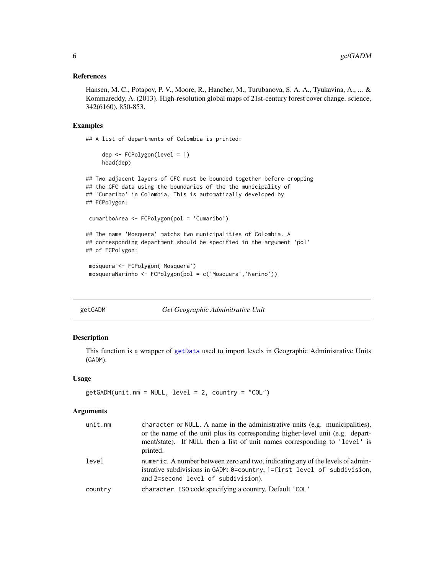#### <span id="page-5-0"></span>References

Hansen, M. C., Potapov, P. V., Moore, R., Hancher, M., Turubanova, S. A. A., Tyukavina, A., ... & Kommareddy, A. (2013). High-resolution global maps of 21st-century forest cover change. science, 342(6160), 850-853.

#### Examples

## A list of departments of Colombia is printed:

```
dep <- FCPolygon(level = 1)
head(dep)
```

```
## Two adjacent layers of GFC must be bounded together before cropping
## the GFC data using the boundaries of the the municipality of
## 'Cumaribo' in Colombia. This is automatically developed by
## FCPolygon:
```

```
cumariboArea <- FCPolygon(pol = 'Cumaribo')
```

```
## The name 'Mosquera' matchs two municipalities of Colombia. A
## corresponding department should be specified in the argument 'pol'
## of FCPolygon:
```

```
mosquera <- FCPolygon('Mosquera')
mosqueraNarinho <- FCPolygon(pol = c('Mosquera','Narino'))
```

```
getGADM Get Geographic Adminitrative Unit
```
#### Description

This function is a wrapper of [getData](#page-0-0) used to import levels in Geographic Administrative Units (GADM).

#### Usage

```
getGADM(unit.nm = NULL, level = 2, country = "COL")
```
#### Arguments

| unit.mm | character or NULL. A name in the administrative units (e.g. municipalities),<br>or the name of the unit plus its corresponding higher-level unit (e.g. depart-<br>ment/state). If NULL then a list of unit names corresponding to 'level' is<br>printed. |
|---------|----------------------------------------------------------------------------------------------------------------------------------------------------------------------------------------------------------------------------------------------------------|
| level   | numeric. A number between zero and two, indicating any of the levels of admin-<br>istrative subdivisions in GADM: 0=country, 1=first level of subdivision,<br>and 2=second level of subdivision).                                                        |
| country | character. ISO code specifying a country. Default 'COL'                                                                                                                                                                                                  |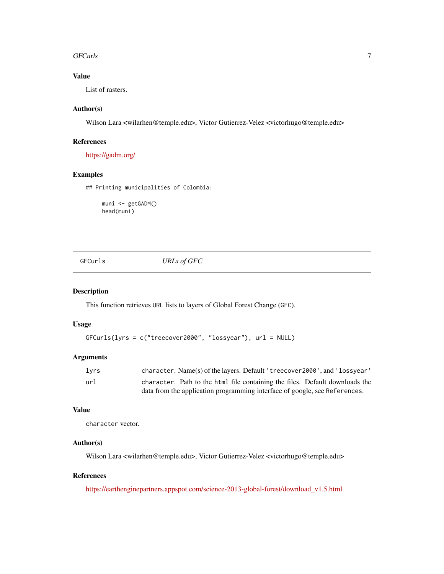#### <span id="page-6-0"></span>GFCurls  $\qquad \qquad$  7

## Value

List of rasters.

## Author(s)

Wilson Lara <wilarhen@temple.edu>, Victor Gutierrez-Velez <victorhugo@temple.edu>

## References

<https://gadm.org/>

## Examples

## Printing municipalities of Colombia:

muni <- getGADM() head(muni)

<span id="page-6-1"></span>GFCurls *URLs of GFC*

## Description

This function retrieves URL lists to layers of Global Forest Change (GFC).

## Usage

```
GFCurls(lyrs = c("treecover2000", "lossyear"), url = NULL)
```
## Arguments

| lyrs | character. Name(s) of the layers. Default 'treecover2000', and 'lossyear'    |
|------|------------------------------------------------------------------------------|
| url  | character. Path to the html file containing the files. Default downloads the |
|      | data from the application programming interface of google, see References.   |

## Value

character vector.

## Author(s)

Wilson Lara <wilarhen@temple.edu>, Victor Gutierrez-Velez <victorhugo@temple.edu>

## References

[https://earthenginepartners.appspot.com/science-2013-global-forest/download\\_v1.5.html](http://earthenginepartners.appspot.com)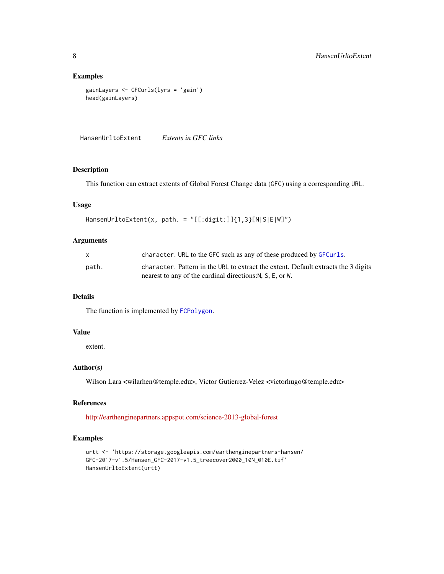## Examples

```
gainLayers <- GFCurls(lyrs = 'gain')
head(gainLayers)
```
<span id="page-7-1"></span>HansenUrltoExtent *Extents in GFC links*

#### Description

This function can extract extents of Global Forest Change data (GFC) using a corresponding URL.

## Usage

```
HansenUrltoExtent(x, path. = "[[:digit:]]{1,3}[N|S|E|W]")
```
## Arguments

|       | character. URL to the GFC such as any of these produced by GFCurls.                |
|-------|------------------------------------------------------------------------------------|
| path. | character. Pattern in the URL to extract the extent. Default extracts the 3 digits |
|       | nearest to any of the cardinal directions: N, S, E, or W.                          |

#### Details

The function is implemented by [FCPolygon](#page-4-1).

## Value

extent.

## Author(s)

Wilson Lara <wilarhen@temple.edu>, Victor Gutierrez-Velez <victorhugo@temple.edu>

## References

[http://earthenginepartners.appspot.com/science-2013-global-forest](http://earthenginepartners.appspot.com)

## Examples

```
urtt <- 'https://storage.googleapis.com/earthenginepartners-hansen/
GFC-2017-v1.5/Hansen_GFC-2017-v1.5_treecover2000_10N_010E.tif'
HansenUrltoExtent(urtt)
```
<span id="page-7-0"></span>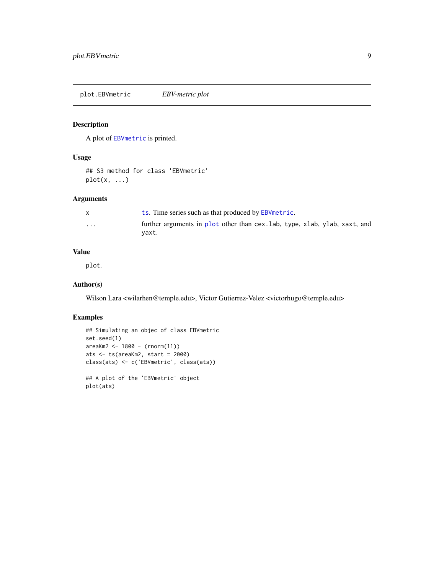<span id="page-8-0"></span>plot.EBVmetric *EBV-metric plot*

## Description

A plot of [EBVmetric](#page-2-1) is printed.

## Usage

## S3 method for class 'EBVmetric'  $plot(x, \ldots)$ 

## Arguments

|   | ts. Time series such as that produced by EBVmetric.                                 |
|---|-------------------------------------------------------------------------------------|
| . | further arguments in plot other than cex. lab, type, xlab, ylab, xaxt, and<br>vaxt. |

## Value

plot.

## Author(s)

Wilson Lara <wilarhen@temple.edu>, Victor Gutierrez-Velez <victorhugo@temple.edu>

#### Examples

```
## Simulating an objec of class EBVmetric
set.seed(1)
areaKm2 <- 1800 - (rnorm(11))
ats <- ts(areaKm2, start = 2000)
class(ats) <- c('EBVmetric', class(ats))
## A plot of the 'EBVmetric' object
plot(ats)
```